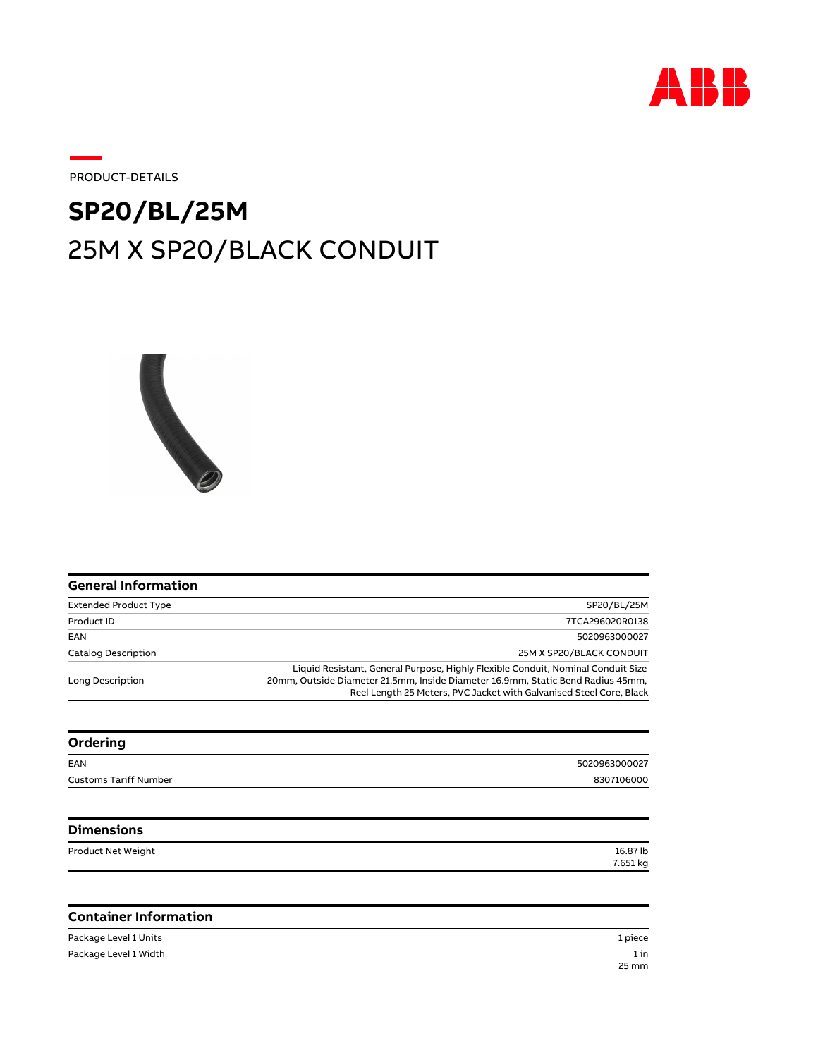

Customs Tariff Number 8307106000

PRODUCT-DETAILS

## 25M X SP20/BLACK CONDUIT **SP20/BL/25M**



| <b>General Information</b>   |                                                                                                                                                                                                                                            |
|------------------------------|--------------------------------------------------------------------------------------------------------------------------------------------------------------------------------------------------------------------------------------------|
| <b>Extended Product Type</b> | SP20/BL/25M                                                                                                                                                                                                                                |
| Product ID                   | 7TCA296020R0138                                                                                                                                                                                                                            |
| EAN                          | 5020963000027                                                                                                                                                                                                                              |
| <b>Catalog Description</b>   | 25M X SP20/BLACK CONDUIT                                                                                                                                                                                                                   |
| Long Description             | Liquid Resistant, General Purpose, Highly Flexible Conduit, Nominal Conduit Size<br>20mm, Outside Diameter 21.5mm, Inside Diameter 16.9mm, Static Bend Radius 45mm,<br>Reel Length 25 Meters, PVC Jacket with Galvanised Steel Core, Black |
| Ordering                     |                                                                                                                                                                                                                                            |
| EAN                          | 5020963000027                                                                                                                                                                                                                              |

| EAN                          |  |
|------------------------------|--|
| <b>Customs Tariff Number</b> |  |
|                              |  |

| <b>Dimensions</b>  |          |
|--------------------|----------|
| Product Net Weight | 16.87 lb |
|                    | 7.651 kg |

## **Container Information**

| Package Level 1 Units | 1 piece |
|-----------------------|---------|
| Package Level 1 Width | 1 in    |
|                       | 25 mm   |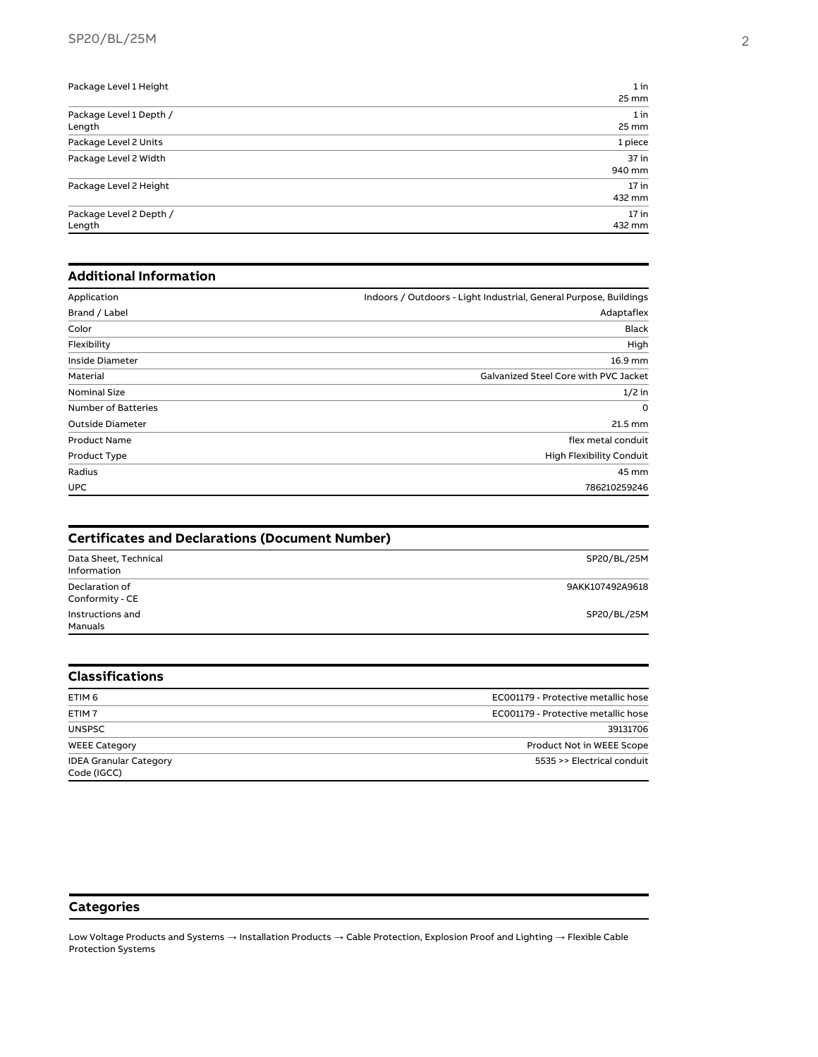| Package Level 1 Height  | 1 in    |
|-------------------------|---------|
|                         | 25 mm   |
| Package Level 1 Depth / | 1 in    |
| Length                  | 25 mm   |
| Package Level 2 Units   | 1 piece |
| Package Level 2 Width   | 37 in   |
|                         | 940 mm  |
| Package Level 2 Height  | $17$ in |
|                         | 432 mm  |
| Package Level 2 Depth / | $17$ in |
| Length                  | 432 mm  |

## **Additional Information**

| Application             | Indoors / Outdoors - Light Industrial, General Purpose, Buildings |
|-------------------------|-------------------------------------------------------------------|
| Brand / Label           | Adaptaflex                                                        |
| Color                   | <b>Black</b>                                                      |
| Flexibility             | High                                                              |
| Inside Diameter         | 16.9 mm                                                           |
| Material                | Galvanized Steel Core with PVC Jacket                             |
| <b>Nominal Size</b>     | $1/2$ in                                                          |
| Number of Batteries     | $\Omega$                                                          |
| <b>Outside Diameter</b> | 21.5 mm                                                           |
| <b>Product Name</b>     | flex metal conduit                                                |
| Product Type            | High Flexibility Conduit                                          |
| Radius                  | 45 mm                                                             |
| <b>UPC</b>              | 786210259246                                                      |

| <b>Certificates and Declarations (Document Number)</b> |                 |
|--------------------------------------------------------|-----------------|
| Data Sheet, Technical<br>Information                   | SP20/BL/25M     |
| Declaration of<br>Conformity - CE                      | 9AKK107492A9618 |
| Instructions and<br>Manuals                            | SP20/BL/25M     |

| <b>Classifications</b>                       |                                     |
|----------------------------------------------|-------------------------------------|
| ETIM 6                                       | EC001179 - Protective metallic hose |
| ETIM <sub>7</sub>                            | EC001179 - Protective metallic hose |
| <b>UNSPSC</b>                                | 39131706                            |
| <b>WEEE Category</b>                         | Product Not in WEEE Scope           |
| <b>IDEA Granular Category</b><br>Code (IGCC) | 5535 >> Electrical conduit          |

## **Categories**

Low Voltage Products and Systems  $\to$  Installation Products  $\to$  Cable Protection, Explosion Proof and Lighting  $\to$  Flexible Cable Protection Systems